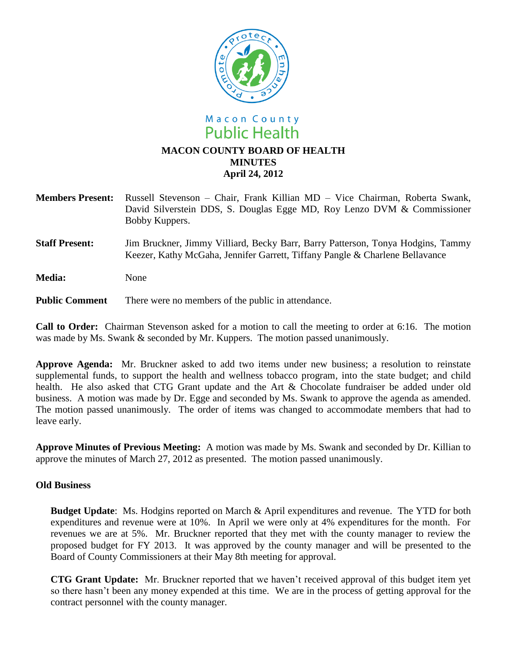

- **Members Present:** Russell Stevenson Chair, Frank Killian MD Vice Chairman, Roberta Swank, David Silverstein DDS, S. Douglas Egge MD, Roy Lenzo DVM & Commissioner Bobby Kuppers.
- **Staff Present:** Jim Bruckner, Jimmy Villiard, Becky Barr, Barry Patterson, Tonya Hodgins, Tammy Keezer, Kathy McGaha, Jennifer Garrett, Tiffany Pangle & Charlene Bellavance

**Media:** None

**Public Comment** There were no members of the public in attendance.

**Call to Order:** Chairman Stevenson asked for a motion to call the meeting to order at 6:16. The motion was made by Ms. Swank & seconded by Mr. Kuppers. The motion passed unanimously.

**Approve Agenda:** Mr. Bruckner asked to add two items under new business; a resolution to reinstate supplemental funds, to support the health and wellness tobacco program, into the state budget; and child health. He also asked that CTG Grant update and the Art & Chocolate fundraiser be added under old business. A motion was made by Dr. Egge and seconded by Ms. Swank to approve the agenda as amended. The motion passed unanimously. The order of items was changed to accommodate members that had to leave early.

**Approve Minutes of Previous Meeting:** A motion was made by Ms. Swank and seconded by Dr. Killian to approve the minutes of March 27, 2012 as presented. The motion passed unanimously.

## **Old Business**

**Budget Update**: Ms. Hodgins reported on March & April expenditures and revenue. The YTD for both expenditures and revenue were at 10%. In April we were only at 4% expenditures for the month. For revenues we are at 5%. Mr. Bruckner reported that they met with the county manager to review the proposed budget for FY 2013. It was approved by the county manager and will be presented to the Board of County Commissioners at their May 8th meeting for approval.

**CTG Grant Update:** Mr. Bruckner reported that we haven't received approval of this budget item yet so there hasn't been any money expended at this time.We are in the process of getting approval for the contract personnel with the county manager.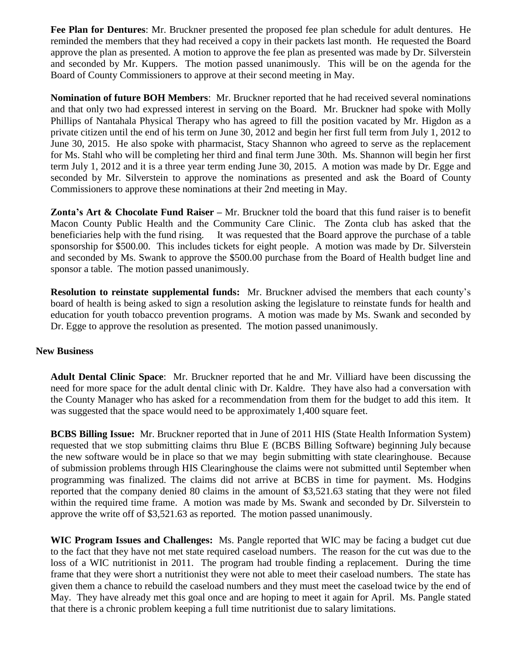**Fee Plan for Dentures**: Mr. Bruckner presented the proposed fee plan schedule for adult dentures. He reminded the members that they had received a copy in their packets last month. He requested the Board approve the plan as presented. A motion to approve the fee plan as presented was made by Dr. Silverstein and seconded by Mr. Kuppers. The motion passed unanimously. This will be on the agenda for the Board of County Commissioners to approve at their second meeting in May.

**Nomination of future BOH Members**: Mr. Bruckner reported that he had received several nominations and that only two had expressed interest in serving on the Board. Mr. Bruckner had spoke with Molly Phillips of Nantahala Physical Therapy who has agreed to fill the position vacated by Mr. Higdon as a private citizen until the end of his term on June 30, 2012 and begin her first full term from July 1, 2012 to June 30, 2015. He also spoke with pharmacist, Stacy Shannon who agreed to serve as the replacement for Ms. Stahl who will be completing her third and final term June 30th. Ms. Shannon will begin her first term July 1, 2012 and it is a three year term ending June 30, 2015. A motion was made by Dr. Egge and seconded by Mr. Silverstein to approve the nominations as presented and ask the Board of County Commissioners to approve these nominations at their 2nd meeting in May.

**Zonta's Art & Chocolate Fund Raiser –** Mr. Bruckner told the board that this fund raiser is to benefit Macon County Public Health and the Community Care Clinic. The Zonta club has asked that the beneficiaries help with the fund rising. It was requested that the Board approve the purchase of a table sponsorship for \$500.00. This includes tickets for eight people. A motion was made by Dr. Silverstein and seconded by Ms. Swank to approve the \$500.00 purchase from the Board of Health budget line and sponsor a table. The motion passed unanimously.

**Resolution to reinstate supplemental funds:** Mr. Bruckner advised the members that each county's board of health is being asked to sign a resolution asking the legislature to reinstate funds for health and education for youth tobacco prevention programs. A motion was made by Ms. Swank and seconded by Dr. Egge to approve the resolution as presented. The motion passed unanimously.

## **New Business**

**Adult Dental Clinic Space**: Mr. Bruckner reported that he and Mr. Villiard have been discussing the need for more space for the adult dental clinic with Dr. Kaldre. They have also had a conversation with the County Manager who has asked for a recommendation from them for the budget to add this item. It was suggested that the space would need to be approximately 1,400 square feet.

**BCBS Billing Issue:** Mr. Bruckner reported that in June of 2011 HIS (State Health Information System) requested that we stop submitting claims thru Blue E (BCBS Billing Software) beginning July because the new software would be in place so that we may begin submitting with state clearinghouse. Because of submission problems through HIS Clearinghouse the claims were not submitted until September when programming was finalized. The claims did not arrive at BCBS in time for payment. Ms. Hodgins reported that the company denied 80 claims in the amount of \$3,521.63 stating that they were not filed within the required time frame. A motion was made by Ms. Swank and seconded by Dr. Silverstein to approve the write off of \$3,521.63 as reported. The motion passed unanimously.

**WIC Program Issues and Challenges:** Ms. Pangle reported that WIC may be facing a budget cut due to the fact that they have not met state required caseload numbers. The reason for the cut was due to the loss of a WIC nutritionist in 2011. The program had trouble finding a replacement. During the time frame that they were short a nutritionist they were not able to meet their caseload numbers. The state has given them a chance to rebuild the caseload numbers and they must meet the caseload twice by the end of May. They have already met this goal once and are hoping to meet it again for April. Ms. Pangle stated that there is a chronic problem keeping a full time nutritionist due to salary limitations.